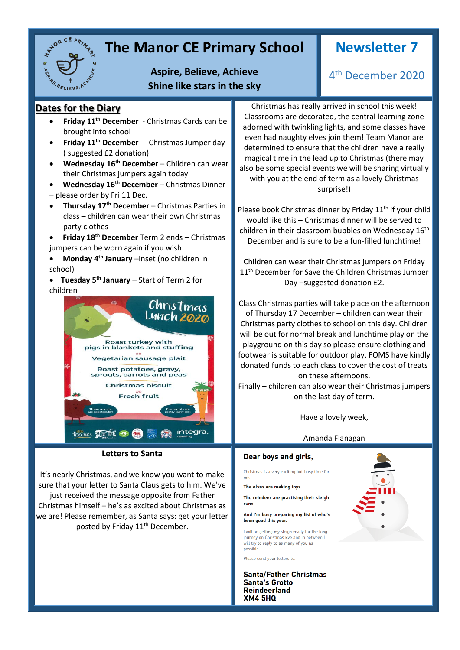

### **The Manor CE Primary School**

### **Newsletter 7**

4 th December 2020

**Aspire, Believe, Achieve Shine like stars in the sky**

### **Dates for the Diary**

- **Friday 11th December** Christmas Cards can be brought into school
- **Friday 11th December** Christmas Jumper day ( suggested £2 donation)
- **Wednesday 16th December** Children can wear their Christmas jumpers again today
- **Wednesday 16th December** Christmas Dinner – please order by Fri 11 Dec.
- **Thursday 17th December** Christmas Parties in class – children can wear their own Christmas party clothes
- **Friday 18th December** Term 2 ends Christmas jumpers can be worn again if you wish.
- **Monday 4th January** –Inset (no children in school)

 **Tuesday 5th January** – Start of Term 2 for children



#### **Letters to Santa**

It's nearly Christmas, and we know you want to make sure that your letter to Santa Claus gets to him. We've

just received the message opposite from Father Christmas himself – he's as excited about Christmas as we are! Please remember, as Santa says: get your letter posted by Friday 11<sup>th</sup> December.

Christmas has really arrived in school this week! Classrooms are decorated, the central learning zone adorned with twinkling lights, and some classes have even had naughty elves join them! Team Manor are determined to ensure that the children have a really magical time in the lead up to Christmas (there may also be some special events we will be sharing virtually with you at the end of term as a lovely Christmas surprise!)

Please book Christmas dinner by Friday  $11<sup>th</sup>$  if your child would like this – Christmas dinner will be served to children in their classroom bubbles on Wednesday 16<sup>th</sup> December and is sure to be a fun-filled lunchtime!

Children can wear their Christmas jumpers on Friday 11<sup>th</sup> December for Save the Children Christmas Jumper Day –suggested donation £2.

Class Christmas parties will take place on the afternoon of Thursday 17 December – children can wear their Christmas party clothes to school on this day. Children will be out for normal break and lunchtime play on the playground on this day so please ensure clothing and footwear is suitable for outdoor play. FOMS have kindly donated funds to each class to cover the cost of treats on these afternoons.

Finally – children can also wear their Christmas jumpers on the last day of term.

Have a lovely week,

#### Amanda Flanagan

#### Dear boys and girls,

Christmas is a very exciting but busy time for

The elves are making toys

The reindeer are practising their sleigh runs

And I'm busy preparing my list of who's been good this year.

I will be getting my sleigh ready for the long journey on Christmas Eve and in between will try to reply to as many of you as<br>possible.

Please send your letters to:

**Santa/Father Christmas Santa's Grotto Reindeerland XM4 5HQ** 

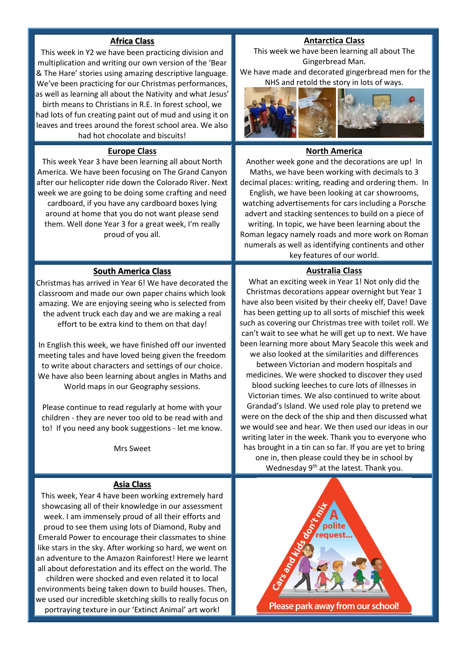#### **Africa Class**

This week in Y2 we have been practicing division and multiplication and writing our own version of the 'Bear & The Hare' stories using amazing descriptive language. We've been practicing for our Christmas performances, as well as learning all about the Nativity and what Jesus'

birth means to Christians in R.E. In forest school, we had lots of fun creating paint out of mud and using it on leaves and trees around the forest school area. We also had hot chocolate and biscuits!

#### **Europe Class**

This week Year 3 have been learning all about North America. We have been focusing on The Grand Canyon after our helicopter ride down the Colorado River. Next week we are going to be doing some crafting and need cardboard, if you have any cardboard boxes lying around at home that you do not want please send them. Well done Year 3 for a great week, I'm really proud of you all.

#### **South America Class**

Christmas has arrived in Year 6! We have decorated the classroom and made our own paper chains which look amazing. We are enjoying seeing who is selected from the advent truck each day and we are making a real effort to be extra kind to them on that day!

In English this week, we have finished off our invented meeting tales and have loved being given the freedom to write about characters and settings of our choice. We have also been learning about angles in Maths and World maps in our Geography sessions.

Please continue to read regularly at home with your children - they are never too old to be read with and to! If you need any book suggestions - let me know.

Mrs Sweet

#### **Asia Class**

This week, Year 4 have been working extremely hard showcasing all of their knowledge in our assessment week. I am immensely proud of all their efforts and proud to see them using lots of Diamond, Ruby and Emerald Power to encourage their classmates to shine like stars in the sky. After working so hard, we went on an adventure to the Amazon Rainforest! Here we learnt all about deforestation and its effect on the world. The children were shocked and even related it to local environments being taken down to build houses. Then, we used our incredible sketching skills to really focus on portraying texture in our 'Extinct Animal' art work!

#### **Antarctica Class**

This week we have been learning all about The Gingerbread Man. We have made and decorated gingerbread men for the



#### **North America**

Another week gone and the decorations are up! In Maths, we have been working with decimals to 3 decimal places: writing, reading and ordering them. In English, we have been looking at car showrooms, watching advertisements for cars including a Porsche advert and stacking sentences to build on a piece of writing. In topic, we have been learning about the Roman legacy namely roads and more work on Roman numerals as well as identifying continents and other key features of our world.

#### **Australia Class**

What an exciting week in Year 1! Not only did the Christmas decorations appear overnight but Year 1 have also been visited by their cheeky elf, Dave! Dave has been getting up to all sorts of mischief this week such as covering our Christmas tree with toilet roll. We can't wait to see what he will get up to next. We have been learning more about Mary Seacole this week and we also looked at the similarities and differences between Victorian and modern hospitals and medicines. We were shocked to discover they used blood sucking leeches to cure lots of illnesses in Victorian times. We also continued to write about Grandad's Island. We used role play to pretend we were on the deck of the ship and then discussed what we would see and hear. We then used our ideas in our writing later in the week. Thank you to everyone who has brought in a tin can so far. If you are yet to bring one in, then please could they be in school by Wednesday 9<sup>th</sup> at the latest. Thank you.